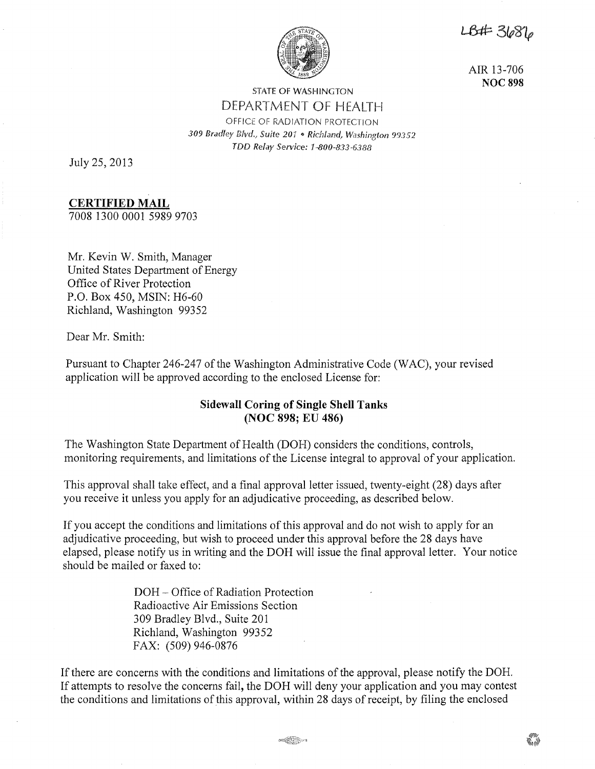18#3686



AIR 13-706 **NOC 898** 

# STATE OF WASHINGTON DEPARTMENT OF HEALTH OFFICE OF RADIATION PROTECTION 309 Bradley Blvd., Suite 20<sup>1</sup> . Richland, Washington 99352 TDD Relay Service: 1 ·800-833-6388

July 25, 2013

# **CERTIFIED MAIL**

7008 1300 0001 5989 9703

Mr. Kevin W. Smith, Manager United States Department of Energy Office of River Protection P.O. Box 450, MSIN: H6-60 Richland, Washington 99352

Dear Mr. Smith:

Pursuant to Chapter 246-247 of the Washington Administrative Code (WAC), your revised application will be approved according to the enclosed License for:

# **Sidewall Coring of Single Shell Tanks (NOC 898; EU 486)**

The Washington State Department of Health (DOH) considers the conditions, controls, monitoring requirements, and limitations of the License integral to approval of your application.

This approval shall take effect, and a final approval letter issued, twenty-eight (28) days after you receive it unless you apply for an adjudicative proceeding, as described below.

If you accept the conditions and limitations of this approval and do not wish to apply for an adjudicative proceeding, but wish to proceed under this approval before the 28 days have elapsed, please notify us in writing and the DOH will issue the final approval letter. Your notice should be mailed or faxed to:

> DOH - Office of Radiation Protection Radioactive Air Emissions Section 309 Bradley Blvd., Suite 201 Richland, Washington 99352 FAX: (509) 946-0876

If there are concerns with the conditions and limitations of the approval, please notify the DOH. If attempts to resolve the concerns fail, the DOH will deny your application and you may contest the conditions and limitations of this approval, within 28 days of receipt, by filing the enclosed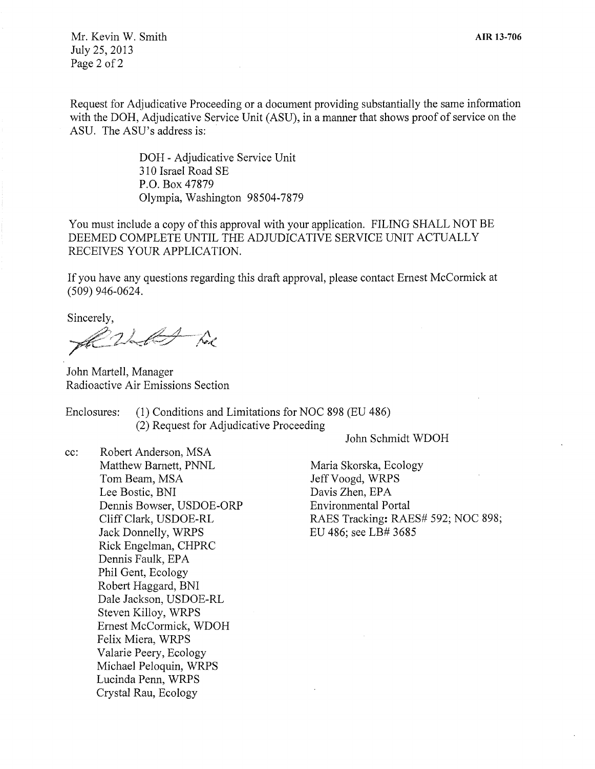Mr. Kevin W. Smith July 25, 2013 Page 2 of 2

Request for Adjudicative Proceeding or a document providing substantially the same information with the DOH, Adjudicative Service Unit (ASU), in a manner that shows proof of service on the ASU. The ASU's address is:

> DOH - Adjudicative Service Unit 310 Israel Road SE P.O. Box 47879 Olympia, Washington 98504-7879

You must include a copy of this approval with your application. FILING SHALL NOT BE DEEMED COMPLETE UNTIL THE ADJUDICATIVE SERVICE UNIT ACTUALLY RECEIVES YOUR APPLICATION.

If you have any questions regarding this draft approval, please contact Ernest McCormick at (509) 946-0624.

Sincerely,

Alles hoe

John Martell, Manager Radioactive Air Emissions Section

Enclosures: (1) Conditions and Limitations for NOC 898 (EU 486) (2) Request for Adjudicative Proceeding

John Schmidt WDOH

cc: Robert Anderson, MSA Matthew Barnett, PNNL Tom Beam, MSA Lee Bostic, BNI Dennis Bowser, USDOE-ORP Cliff Clark, USDOE-RL Jack Donnelly, WRPS Rick Engelman, CHPRC Dennis Faulk, EPA Phil Gent, Ecology Robert Haggard, BNI Dale Jackson, USDOE-RL Steven Killoy, WRPS Ernest McCormick, WDOH Felix Miera, WRPS Valarie Peery, Ecology Michael Peloquin, WRPS Lucinda Penn, WRPS Crystal Rau, Ecology

Maria Skorska, Ecology Jeff Voogd, WRPS Davis Zhen, EPA Environmental Portal RAES Tracking: RAES# 592; NOC 898; EU 486; see LB# 3685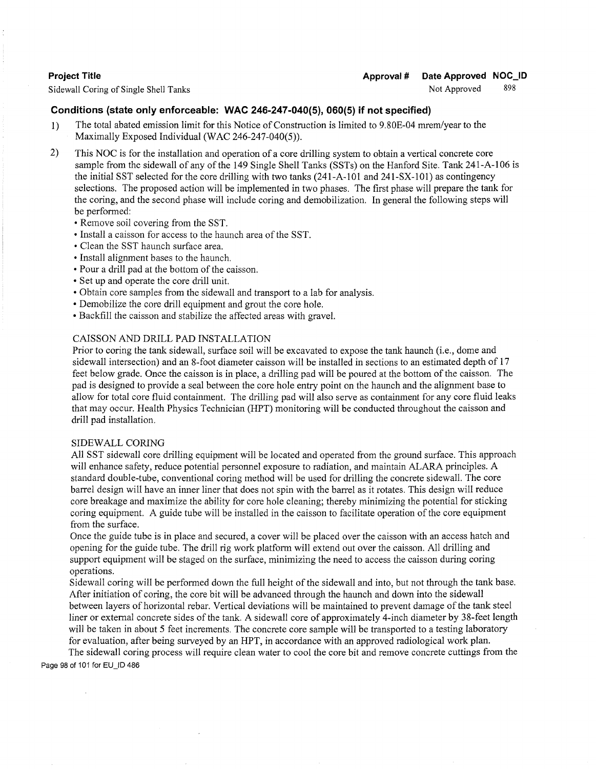Sidewall Coring of Single Shell Tanks Not Approved

## 898

# **Conditions (state only enforceable: WAC 246-247-040(5), 060(5) if not specified)**

- 1) The total abated emission limit for this Notice of Construction is limited to 9.80E-04 mrem/year to the Maximally Exposed Individual (WAC 246-247-040(5)).
- 2) This NOC is for the installation and operation of a core drilling system to obtain a vertical concrete core sample from the sidewall of any of the 149 Single Shell Tanks (SSTs) on the Hanford Site. Tank 241-A-106 is the initial SST selected for the core drilling with two tanks (241-A-101 and 241-SX-101) as contingency selections. The proposed action will be implemented in two phases. The first phase will prepare the tank for the coring, and the second phase will include coring and demobilization. In general the following steps will be performed:
	- Remove soil covering from the SST.
	- Install a caisson for access to the haunch area of the SST.
	- Clean the SST haunch surface area.
	- Install alignment bases to the haunch.
	- Pour a drill pad at the bottom of the caisson.
	- Set up and operate the core drill unit.
	- Obtain core samples from the sidewall and transport to a lab for analysis.
	- Demobilize the core drill equipment and grout the core hole.
	- Backfill the caisson and stabilize the affected areas with gravel.

# CAISSON AND DRILL PAD INSTALLATION

Prior to coring the tank sidewall, surface soil will be excavated to expose the tank haunch (i.e., dome and sidewall intersection) and an 8-foot diameter caisson will be installed in sections to an estimated depth of 17 feet below grade. Once the caisson is in place, a drilling pad will be poured at the bottom of the caisson. The pad is designed to provide a seal between the core hole entry point on the haunch and the alignment base to allow for total core fluid containment. The drilling pad will also serve as containment for any core fluid leaks that may occur. Health Physics Technician (HPT) monitoring will be conducted throughout the caisson and drill pad installation.

## SIDEWALL CORING

All SST sidewall core drilling equipment will be located and operated from the ground surface. This approach will enhance safety, reduce potential personnel exposure to radiation, and maintain ALARA principles. A standard double-tube, conventional coring method will be used for drilling the concrete sidewall. The core barrel design will have an inner liner that does not spin with the barrel as it rotates. This design will reduce core breakage and maximize the ability for core hole cleaning; thereby minimizing the potential for sticking coring equipment. A guide tube will be installed in the caisson to facilitate operation of the core equipment from the surface.

Once the guide tube is in place and secured, a cover will be placed over the caisson with an access hatch and opening for the guide tube. The drill rig work platform will extend out over the caisson. All drilling and support equipment will be staged on the surface, minimizing the need to access the caisson during coring operations.

Sidewall coring will be performed down the full height of the sidewall and into, but not through the tank base. After initiation of coring, the core bit will be advanced through the haunch and down into the sidewall between layers of horizontal rebar. Vertical deviations will be maintained to prevent damage of the tank steel liner or external concrete sides of the tank. A sidewall core of approximately 4-inch diameter by 38-feet length will be taken in about 5 feet increments. The concrete core sample will be transported to a testing laboratory for evaluation, after being surveyed by an HPT, in accordance with an approved radiological work plan.

The sidewall coring process will require clean water to cool the core bit and remove concrete cuttings from the Page 98 of 101 for EU\_ID 486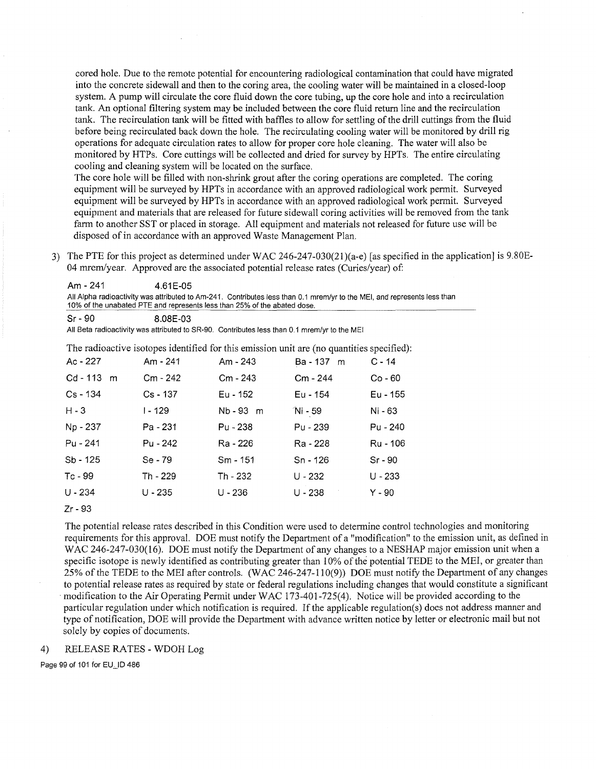cored hole. Due to the remote potential for encountering radiological contamination that could have migrated into the concrete sidewall and then to the coring area, the cooling water will be maintained in a closed-loop system. A pump will circulate the core fluid down the core tubing, up the core hole and into a recirculation tank. An optional filtering system may be included between the core fluid return line and the recirculation tank. The recirculation tank will be fitted with baffles to allow for settling of the drill cuttings from the fluid before being recirculated back down the hole. The recirculating cooling water will be monitored by drill rig operations for adequate circulation rates to allow for proper core hole cleaning. The water will also be monitored by HTPs. Core cuttings will be collected and dried for survey by HPTs. The entire circulating cooling and cleaning system will be located on the surface.

The core hole will be filled with non-shrink grout after the coring operations are completed. The coring equipment will be surveyed by HPTs in accordance with an approved radiological work permit. Surveyed equipment will be surveyed by HPTs in accordance with an approved radiological work permit. Surveyed equipment and materials that are released for future sidewall coring activities will be removed from the tank farm to another SST or placed in storage. All equipment and materials not released for future use will be disposed of in accordance with an approved Waste Management Plan.

3) The PTE for this project as determined under WAC 246-247-030(21)(a-e) [as specified in the application] is 9.80E-04 mrem/year. Approved are the associated potential release rates (Curies/year) of:

Am - 241 4.61 E-05 All Alpha radioactivity was attributed to Am-241. Contributes less than 0.1 mrem/yr to the MEI, and represents less than 10% of the unabated PTE and represents less than 25% of the abated dose.

Sr-90 8.08E-03

All Beta radioactivity was attributed to SR-90. Contributes less than 0.1 mrem/yr to the MEI

The radioactive isotopes identified for this emission unit are (no quantities specified):

| Ac - 227     | Am - 241   | Am - 243   | Ba - 137 m | $C - 14$  |
|--------------|------------|------------|------------|-----------|
| $Cd - 113$ m | Cm - 242   | Cm - 243   | Cm - 244   | Co - 60   |
| $Cs - 134$   | $Cs - 137$ | Eu - 152   | Eu - 154   | Eu - 155  |
| $H - 3$      | I - 129    | Nb - 93 m  | Ni - 59    | Ni - 63   |
| Np - 237     | Pa - 231   | Pu - 238   | Pu - 239   | Pu - 240  |
| Pu - 241     | Pu - 242   | Ra - 226   | Ra - 228   | Ru - 106  |
| Sb - 125     | Se - 79    | $Sm - 151$ | Sn - 126   | $Sr - 90$ |
| Tc - 99      | Th - 229   | Th - 232   | $U - 232$  | U - 233   |
| $U - 234$    | $U - 235$  | U - 236    | $U - 238$  | Y - 90    |

Zr- 93

The potential release rates described in this Condition were used to determine control technologies and monitoring requirements for this approval. DOE must notify the Department of a "modification" to the emission unit, as defined in WAC 246-247-030(16). DOE must notify the Department of any changes to a NESHAP major emission unit when a specific isotope is newly identified as contributing greater than 10% of the potential TEDE to the MEI, or greater than 25% of the TEDE to the MEI after controls. (WAC 246-247-110(9)) DOE must notify the Department of any changes to potential release rates as required by state or federal regulations including changes that would constitute a significant modification to the Air Operating Permit under WAC 173-401-725(4). Notice will be provided according to the particular regulation under which notification is required. If the applicable regulation(s) does not address manner and type of notification, DOE will provide the Department with advance written notice by letter or electronic mail but not solely by copies of documents.

### 4) RELEASE RATES- WDOH Log

Page 99 of 101 for EU\_ID 486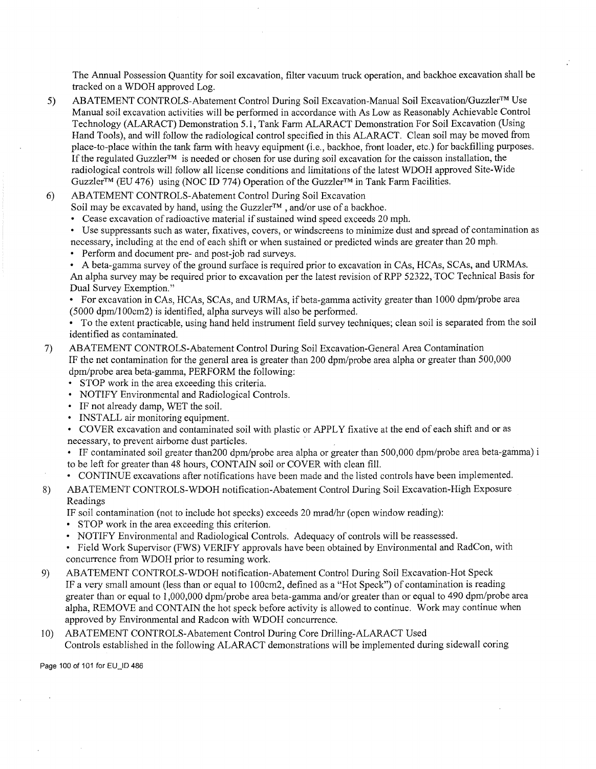The Annual Possession Quantity for soil excavation, filter vacuum truck operation, and backhoe excavation shall be tracked on a WDOH approved Log.

5) ABATEMENT CONTROLS-Abatement Control During Soil Excavation-Manual Soil Excavation/Guzzler™ Use Manual soil excavation activities will be performed in accordance with As Low as Reasonably Achievable Control Technology (ALARACT) Demonstration 5.1, Tank Farm ALARACT Demonstration For Soil Excavation (Using Hand Tools), and will follow the radiological control specified in this ALARACT. Clean soil may be moved from place-to-place within the tank farm with heavy equipment (i.e., backhoe, front loader, etc.) for backfilling purposes. If the regulated Guzzler™ is needed or chosen for use during soil excavation for the caisson installation, the radiological controls will follow all license conditions and limitations of the latest WDOH approved Site-Wide Guzzler<sup>™</sup> (EU 476) using (NOC ID 774) Operation of the Guzzler<sup>™</sup> in Tank Farm Facilities.

#### 6) ABATEMENT CONTROLS-Abatement Control During Soil Excavation

- Soil may be excavated by hand, using the Guzzler<sup>™</sup>, and/or use of a backhoe.
- Cease excavation of radioactive material if sustained wind speed exceeds 20 mph.
- Use suppressants such as water, fixatives, covers, or windscreens to minimize dust and spread of contamination as necessary, including at the end of each shift or when sustained or predicted winds are greater than 20 mph.
- Perform and document pre- and post-job rad surveys.
- A beta-gamma survey of the ground surface is required prior to excavation in CAs, HCAs, SCAs, and URMAs. An alpha survey may be required prior to excavation per the latest revision of RPP 52322, TOC Technical Basis for Dual Survey Exemption."

• For excavation in CAs, HCAs, SCAs, and URMAs, if beta-gamma activity greater than 1000 dpm/probe area (5000 dpm/100cm2) is identified, alpha surveys will also be performed.

- To the extent practicable, using hand held instrument field survey techniques; clean soil is separated from the soil identified as contaminated.
- 7) ABATEMENT CONTROLS-Abatement Control During Soil Excavation-General Area Contamination IF the net contamination for the general area is greater than 200 dpm/probe area alpha or greater than 500,000 dpm/probe area beta-gamma, PERFORM the following:
	- STOP work in the area exceeding this criteria.
	- NOTIFY Environmental and Radiological Controls.
	- IF not already damp, WET the soil.
	- INSTALL air monitoring equipment.

• COVER excavation and contaminated soil with plastic or APPLY fixative at the end of each shift and or as necessary, to prevent airborne dust particles.

• IF contaminated soil greater than200 dpm/probe area alpha or greater than 500,000 dpm/probe area beta-gamma) i to be left for greater than 48 hours, CONTAIN soil or COVER with clean fill.

- CONTINUE excavations after notifications have been made and the listed controls have been implemented.
- 8) ABATEMENT CONTROLS-WDOH notification-Abatement Control During Soil Excavation-High Exposure Readings

IF soil contamination (not to include hot specks) exceeds 20 mrad/hr (open window reading):

- STOP work in the area exceeding this criterion.
- NOTIFY Environmental and Radiological Controls. Adequacy of controls will be reassessed.
- Field Work Supervisor (FWS) VERIFY approvals have been obtained by Environmental and RadCon, with concurrence from WDOH prior to resuming work.
- 9) ABATEMENT CONTROLS-WDOH notification-Abatement Control During Soil Excavation-Hot Speck IF a very small amount (less than or equal to 100cm2, defined as a "Hot Speck") of contamination is reading greater than or equal to 1,000,000 dpm/probe area beta-gamma and/or greater than or equal to 490 dpm/probe area alpha, REMOVE and CONTAIN the hot speck before activity is allowed to continue. Work may continue when approved by Environmental and Radcon with WDOH concurrence.
- 10) ABATEMENT CONTROLS-Abatement Control During Core Drilling-ALARACT Used Controls established in the following ALARACT demonstrations will be implemented during sidewall coring

Page 100 of 101 for EU\_ID 486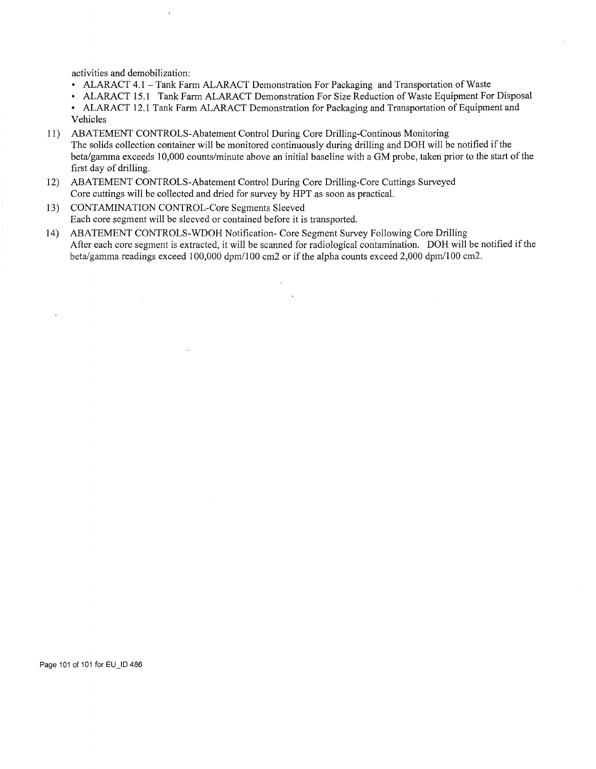activities and demobilization:

- ALARACT 4.1 Tank Farm ALARACT Demonstration For Packaging and Transportation of Waste
- ALARACT 15.1 Tank Farm ALARACT Demonstration For Size Reduction of Waste Equipment For Disposal
- ALARACT 12.1 Tank Farm ALARACT Demonstration for Packaging and Transportation of Equipment and Vehicles
- 11) ABATEMENT CONTROLS-Abatement Control During Core Drilling-Continous Monitoring The solids collection container will be monitored continuously during drilling and DOH will be notified if the beta/gamma exceeds 10,000 counts/minute above an initial baseline with a GM probe, taken prior to the start of the first day of drilling.
- 12) ABATEMENT CONTROLS-Abatement Control During Core Drilling-Core Cuttings Surveyed Core cuttings will be collected and dried for survey by HPT as soon as practical.
- 13) CONTAMINATION CONTROL-Core Segments Sleeved Each core segment will be sleeved or contained before it is transported.
- 14) ABATEMENT CONTROLS-WDOH Notification- Core Segment Survey Following Core Drilling After each core segment is extracted, it will be scanned for radiological contamination. DOH will be notified if the beta/gamma readings exceed 100,000 dpm/100 cm2 or if the alpha counts exceed 2,000 dpm/100 cm2.

Page 101 of 101 for EU\_ID 486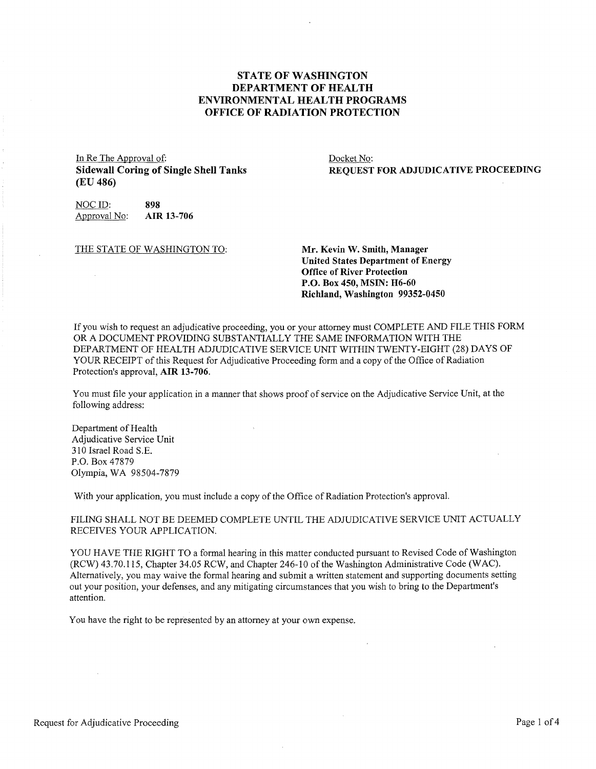## **STATE OF WASHINGTON DEPARTMENT OF HEALTH ENVIRONMENTAL HEALTH PROGRAMS OFFICE OF RADIATION PROTECTION**

In Re The Approval of: **Sidewall Coring of Single Shell Tanks (EU 486)** 

Docket No: **REQUEST FOR ADJUDICATIVE PROCEEDING** 

NOC ID: **898**<br>Approval No: **AIR 13-706** Approval No:

THE STATE OF WASHINGTON TO: **Mr. Kevin W. Smith, Manager** 

**United States Department of Energy Office of River Protection P.O. Box 450, MSIN: H6-60 Richland, Washington 99352-0450** 

If you wish to request an adjudicative proceeding, you or your attorney must COMPLETE AND FILE THIS FORM OR A DOCUMENT PROVIDING SUBSTANTIALLY THE SAME INFORMATION WITH THE DEPARTMENT OF HEALTH ADJUDICATIVE SERVICE UNIT WITHIN TWENTY-EIGHT (28) DAYS OF YOUR RECEIPT of this Request for Adjudicative Proceeding form and a copy of the Office of Radiation Protection's approval, **AIR 13-706.** 

You must file your application in a manner that shows proof of service on the Adjudicative Service Unit, at the following address:

Department of Health Adjudicative Service Unit 310 Israel Road S.E. P.O. Box 47879 Olympia, WA 98504-7879

With your application, you must include a copy of the Office of Radiation Protection's approval.

FILING SHALL NOT BE DEEMED COMPLETE UNTIL THE ADJUDICATIVE SERVICE UNIT ACTUALLY RECEIVES YOUR APPLICATION.

YOU HAVE THE RIGHT TO a formal hearing in this matter conducted pursuant to Revised Code of Washington (RCW) 43.70.115, Chapter 34.05 RCW, and Chapter 246-10 of the Washington Administrative Code (WAC). Alternatively, you may waive the formal hearing and submit a written statement and supporting documents setting out your position, your defenses, and any mitigating circumstances that you wish to bring to the Department's attention.

You have the right to be represented by an attorney at your own expense.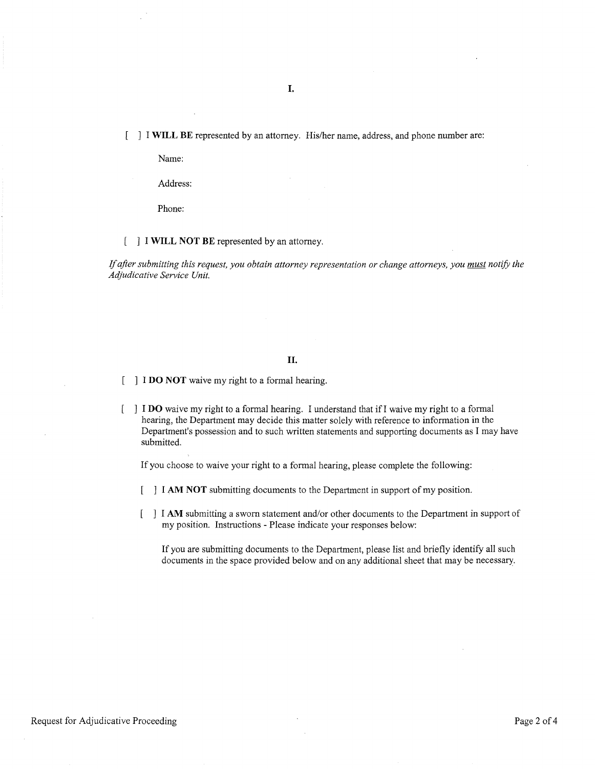**I.** 

[ ] I **WILL BE** represented by an attorney. His/her name, address, and phone number are:

Name:

Address:

Phone:

#### ] I **WILL NOT BE** represented by an attorney.

lf *after submitting this request, you obtain attorney representation or change attorneys, you must notify the Adjudicative Service Unit.* 

#### **II.**

- I **DO NOT** waive my right to a formal hearing.
- I **DO** waive my right to a formal hearing. I understand that if! waive my right to a formal hearing, the Department may decide this matter solely with reference to information in the Department's possession and to such written statements and supporting documents as I may have submitted.

If you choose to waive your right to a formal hearing, please complete the following:

- I **AM NOT** submitting documents to the Department in support of my position.
- I **AM** submitting a sworn statement and/or other documents to the Department in support of my position. Instructions - Please indicate your responses below:

If you are submitting documents to the Department, please list and briefly identify all such documents in the space provided below and on any additional sheet that may be necessary.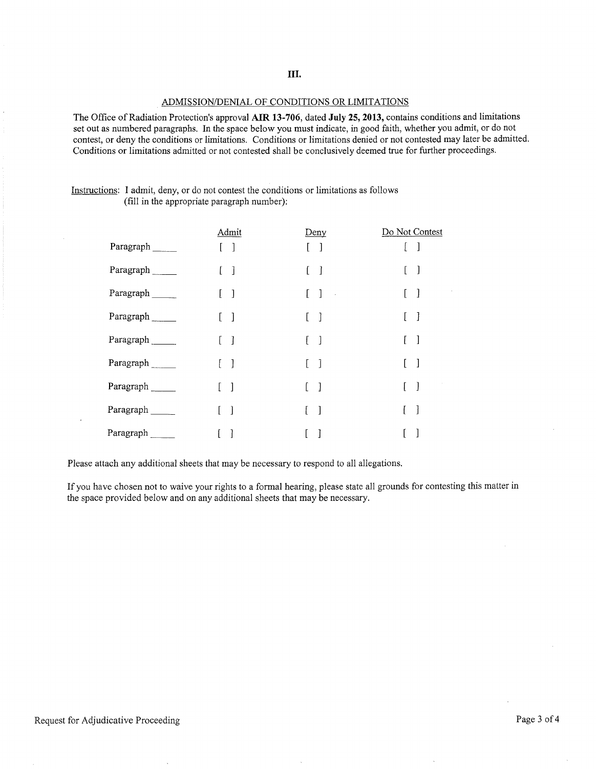**III.** 

#### ADMISSION/DENIAL OF CONDITIONS OR LIMITATIONS

The Office of Radiation Protection's approval **AIR 13-706,** dated **July 25, 2013,** contains conditions and limitations set out as numbered paragraphs. In the space below you must indicate, in good faith, whether you admit, or do not contest, or deny the conditions or limitations. Conditions or limitations denied or not contested may later be admitted. Conditions or limitations admitted or not contested shall be conclusively deemed true for further proceedings.

| Instructions: I admit, deny, or do not contest the conditions or limitations as follows |
|-----------------------------------------------------------------------------------------|
| (fill in the appropriate paragraph number):                                             |

|           | Admit                                 | Deny                                               | Do Not Contest |
|-----------|---------------------------------------|----------------------------------------------------|----------------|
| Paragraph | $\begin{bmatrix} 1 & 1 \end{bmatrix}$ | $\lceil$                                           |                |
| Paragraph | $\begin{bmatrix} 1 \end{bmatrix}$     | $\mathbf{I}$                                       | $\Box$         |
| Paragraph | $[\quad]$                             | $\begin{bmatrix} 1 \end{bmatrix}$<br>$\sim$ $\sim$ | $\Box$         |
| Paragraph | $\mathbf{I}$                          | -1                                                 | $\mathbf{I}$   |
| Paragraph | $\mathbf{1}$                          | $\lceil$<br>F.                                     | $\lceil$       |
| Paragraph | $\lceil$                              | $\mathbf{I}$                                       | $\lceil$       |
| Paragraph | $\overline{\phantom{a}}$              | ſ.<br>-1                                           | $\mathbf{1}$   |
| Paragraph | 1                                     | $\mathbf{I}$                                       | ]              |
| Paragraph | <sup>1</sup>                          | 1                                                  |                |

Please attach any additional sheets that may be necessary to respond to all allegations.

If you have chosen not to waive your rights to a formal hearing, please state all grounds for contesting this matter in the space provided below and on any additional sheets that may be necessary.